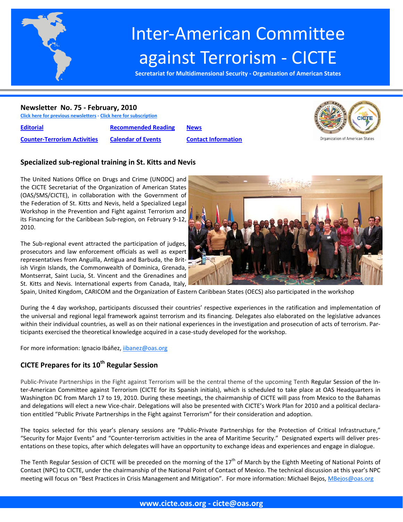

# Inter‐American Committee against Terrorism ‐ CICTE

**Secretariat for Multidimensional Security ‐ Organization of American States**

# **Newsletter No. 75 ‐ February, 2010**

**Click here for previous [newsletters](http://www.cicte.oas.org/Rev/en/About/Newsletters/Default.asp) ‐ Click here for [subscription](www.cicte.oas.org)**

**[Editorial](#page-1-0) [Recommended](#page-5-0) Reading [News](#page-6-0) Counter‐[Terrorism](#page-3-0) Activities [Calendar](#page-5-0) of Events Contact [Information](#page-9-0)**



# **Specialized sub‐regional training in St. Kitts and Nevis**

The United Nations Office on Drugs and Crime (UNODC) and the CICTE Secretariat of the Organization of American States (OAS/SMS/CICTE), in collaboration with the Government of the Federation of St. Kitts and Nevis, held a Specialized Legal Workshop in the Prevention and Fight against Terrorism and its Financing for the Caribbean Sub‐region, on February 9‐12, 2010.

The Sub-regional event attracted the participation of judges, prosecutors and law enforcement officials as well as expert representatives from Anguilla, Antigua and Barbuda, the Brit‐ ish Virgin Islands, the Commonwealth of Dominica, Grenada, Montserrat, Saint Lucia, St. Vincent and the Grenadines and St. Kitts and Nevis. International experts from Canada, Italy,



Spain, United Kingdom, CARICOM and the Organization of Eastern Caribbean States (OECS) also participated in the workshop

During the 4 day workshop, participants discussed their countries' respective experiences in the ratification and implementation of the universal and regional legal framework against terrorism and its financing. Delegates also elaborated on the legislative advances within their individual countries, as well as on their national experiences in the investigation and prosecution of acts of terrorism. Par‐ ticipants exercised the theoretical knowledge acquired in a case‐study developed for the workshop.

For more information: Ignacio Ibáñez, ijbanez@oas.org

# **CICTE Prepares for its 10th Regular Session**

Public-Private Partnerships in the Fight against Terrorism will be the central theme of the upcoming Tenth Regular Session of the Inter-American Committee against Terrorism (CICTE for its Spanish initials), which is scheduled to take place at OAS Headquarters in Washington DC from March 17 to 19, 2010. During these meetings, the chairmanship of CICTE will pass from Mexico to the Bahamas and delegations will elect a new Vice-chair. Delegations will also be presented with CICTE's Work Plan for 2010 and a political declaration entitled "Public Private Partnerships in the Fight against Terrorism" for their consideration and adoption.

The topics selected for this year's plenary sessions are "Public‐Private Partnerships for the Protection of Critical Infrastructure," "Security for Major Events" and "Counter‐terrorism activities in the area of Maritime Security." Designated experts will deliver pres‐ entations on these topics, after which delegates will have an opportunity to exchange ideas and experiences and engage in dialogue.

The Tenth Regular Session of CICTE will be preceded on the morning of the 17<sup>th</sup> of March by the Eighth Meeting of National Points of Contact (NPC) to CICTE, under the chairmanship of the National Point of Contact of Mexico. The technical discussion at this year's NPC meeting will focus on "Best Practices in Crisis Management and Mitigation". For more information: Michael Bejos, MBejos@oas.org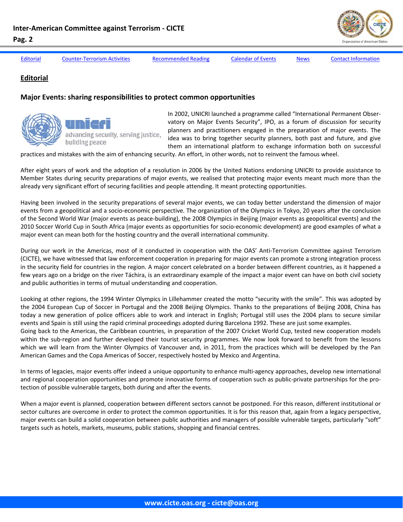<span id="page-1-0"></span>

**Editorial**

Editorial Counter-[Terrorism](#page-3-0) Activities [Recommended](#page-5-0) Reading [Calendar](#page-5-0) of Events [News](#page-6-0) Contact [Information](#page-9-0)

**Major Events: sharing responsibilities to protect common opportunities**

advancing security, serving justice,

building peace

In 2002, UNICRI launched a programme called "International Permanent Obser‐ vatory on Major Events Security", IPO, as a forum of discussion for security planners and practitioners engaged in the preparation of major events. The idea was to bring together security planners, both past and future, and give them an international platform to exchange information both on successful

practices and mistakes with the aim of enhancing security. An effort, in other words, not to reinvent the famous wheel.

After eight years of work and the adoption of a resolution in 2006 by the United Nations endorsing UNICRI to provide assistance to Member States during security preparations of major events, we realised that protecting major events meant much more than the already very significant effort of securing facilities and people attending. It meant protecting opportunities.

Having been involved in the security preparations of several major events, we can today better understand the dimension of major events from a geopolitical and a socio-economic perspective. The organization of the Olympics in Tokyo, 20 years after the conclusion of the Second World War (major events as peace‐building), the 2008 Olympics in Beijing (major events as geopolitical events) and the 2010 Soccer World Cup in South Africa (major events as opportunities for socio‐economic development) are good examples of what a major event can mean both for the hosting country and the overall international community.

During our work in the Americas, most of it conducted in cooperation with the OAS' Anti-Terrorism Committee against Terrorism (CICTE), we have witnessed that law enforcement cooperation in preparing for major events can promote a strong integration process in the security field for countries in the region. A major concert celebrated on a border between different countries, as it happened a few years ago on a bridge on the river Táchira, is an extraordinary example of the impact a major event can have on both civil society and public authorities in terms of mutual understanding and cooperation.

Looking at other regions, the 1994 Winter Olympics in Lillehammer created the motto "security with the smile". This was adopted by the 2004 European Cup of Soccer in Portugal and the 2008 Beijing Olympics. Thanks to the preparations of Beijing 2008, China has today a new generation of police officers able to work and interact in English; Portugal still uses the 2004 plans to secure similar events and Spain is still using the rapid criminal proceedings adopted during Barcelona 1992. These are just some examples.

Going back to the Americas, the Caribbean countries, in preparation of the 2007 Cricket World Cup, tested new cooperation models within the sub-region and further developed their tourist security programmes. We now look forward to benefit from the lessons which we will learn from the Winter Olympics of Vancouver and, in 2011, from the practices which will be developed by the Pan American Games and the Copa Americas of Soccer, respectively hosted by Mexico and Argentina.

In terms of legacies, major events offer indeed a unique opportunity to enhance multi-agency approaches, develop new international and regional cooperation opportunities and promote innovative forms of cooperation such as public-private partnerships for the protection of possible vulnerable targets, both during and after the events.

When a major event is planned, cooperation between different sectors cannot be postponed. For this reason, different institutional or sector cultures are overcome in order to protect the common opportunities. It is for this reason that, again from a legacy perspective, major events can build a solid cooperation between public authorities and managers of possible vulnerable targets, particularly "soft" targets such as hotels, markets, museums, public stations, shopping and financial centres.

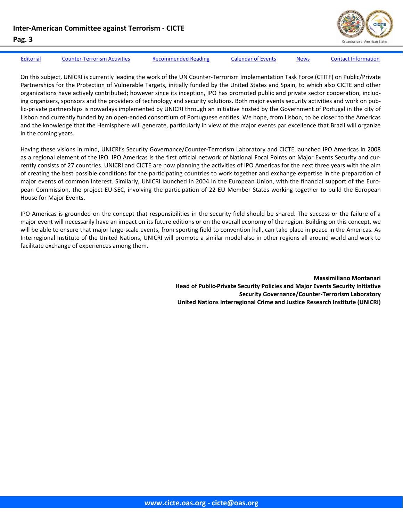

[Editorial](#page-1-0) Counter-[Terrorism](#page-3-0) Activities [Recommended](#page-5-0) Reading [Calendar](#page-5-0) of Events [News](#page-6-0) Contact [Information](#page-9-0)

On this subject, UNICRI is currently leading the work of the UN Counter‐Terrorism Implementation Task Force (CTITF) on Public/Private Partnerships for the Protection of Vulnerable Targets, initially funded by the United States and Spain, to which also CICTE and other organizations have actively contributed; however since its inception, IPO has promoted public and private sector cooperation, includ‐ ing organizers, sponsors and the providers of technology and security solutions. Both major events security activities and work on public-private partnerships is nowadays implemented by UNICRI through an initiative hosted by the Government of Portugal in the city of Lisbon and currently funded by an open‐ended consortium of Portuguese entities. We hope, from Lisbon, to be closer to the Americas and the knowledge that the Hemisphere will generate, particularly in view of the major events par excellence that Brazil will organize in the coming years.

Having these visions in mind, UNICRI's Security Governance/Counter‐Terrorism Laboratory and CICTE launched IPO Americas in 2008 as a regional element of the IPO. IPO Americas is the first official network of National Focal Points on Major Events Security and currently consists of 27 countries. UNICRI and CICTE are now planning the activities of IPO Americas for the next three years with the aim of creating the best possible conditions for the participating countries to work together and exchange expertise in the preparation of major events of common interest. Similarly, UNICRI launched in 2004 in the European Union, with the financial support of the European Commission, the project EU‐SEC, involving the participation of 22 EU Member States working together to build the European House for Major Events.

IPO Americas is grounded on the concept that responsibilities in the security field should be shared. The success or the failure of a major event will necessarily have an impact on its future editions or on the overall economy of the region. Building on this concept, we will be able to ensure that major large-scale events, from sporting field to convention hall, can take place in peace in the Americas. As Interregional Institute of the United Nations, UNICRI will promote a similar model also in other regions all around world and work to facilitate exchange of experiences among them.

> **Massimiliano Montanari Head of Public‐Private Security Policies and Major Events Security Initiative Security Governance/Counter‐Terrorism Laboratory United Nations Interregional Crime and Justice Research Institute (UNICRI)**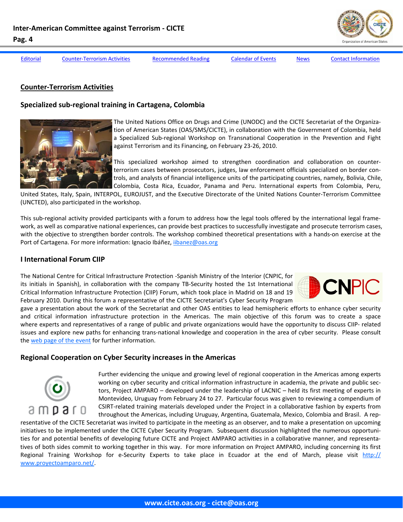

<span id="page-3-0"></span>

[Editorial](#page-1-0) Counter-Terrorism Activities [Recommended](#page-5-0) Reading [Calendar](#page-5-0) of Events [News](#page-6-0) Contact [Information](#page-9-0)

#### **Counter‐Terrorism Activities**

#### **Specialized sub‐regional training in Cartagena, Colombia**



The United Nations Office on Drugs and Crime (UNODC) and the CICTE Secretariat of the Organiza‐ tion of American States (OAS/SMS/CICTE), in collaboration with the Government of Colombia, held a Specialized Sub‐regional Workshop on Transnational Cooperation in the Prevention and Fight against Terrorism and its Financing, on February 23‐26, 2010.

This specialized workshop aimed to strengthen coordination and collaboration on counter‐ terrorism cases between prosecutors, judges, law enforcement officials specialized on border con‐ trols, and analysts of financial intelligence units of the participating countries, namely, Bolivia, Chile, Colombia, Costa Rica, Ecuador, Panama and Peru. International experts from Colombia, Peru,

United States, Italy, Spain, INTERPOL, EUROJUST, and the Executive Directorate of the United Nations Counter‐Terrorism Committee (UNCTED), also participated in the workshop.

This sub-regional activity provided participants with a forum to address how the legal tools offered by the international legal framework, as well as comparative national experiences, can provide best practices to successfully investigate and prosecute terrorism cases, with the objective to strengthen border controls. The workshop combined theoretical presentations with a hands‐on exercise at the Port of Cartagena. For more information: Ignacio Ibáñez, ijbanez@oas.org

#### **I International Forum CIIP**

The National Centre for Critical Infrastructure Protection ‐Spanish Ministry of the Interior (CNPIC, for its initials in Spanish), in collaboration with the company TB‐Security hosted the 1st International Critical Information Infrastructure Protection (CIIP) Forum, which took place in Madrid on 18 and 19 February 2010. During this forum a representative of the CICTE Secretariat's Cyber Security Program



gave a presentation about the work of the Secretariat and other OAS entities to lead hemispheric efforts to enhance cyber security and critical information infrastructure protection in the Americas. The main objective of this forum was to create a space where experts and representatives of a range of public and private organizations would have the opportunity to discuss CIIP‐ related issues and explore new paths for enhancing trans‐national knowledge and cooperation in the area of cyber security. Please consult the web page of the [event](http://forumciip.cnpic-es.com/) for further information.

#### **Regional Cooperation on Cyber Security increases in the Americas**



Further evidencing the unique and growing level of regional cooperation in the Americas among experts working on cyber security and critical information infrastructure in academia, the private and public sectors, Project AMPARO – developed under the leadership of LACNIC – held its first meeting of experts in Montevideo, Uruguay from February 24 to 27. Particular focus was given to reviewing a compendium of CSIRT‐related training materials developed under the Project in a collaborative fashion by experts from throughout the Americas, including Uruguay, Argentina, Guatemala, Mexico, Colombia and Brasil. A rep‐

resentative of the CICTE Secretariat was invited to participate in the meeting as an observer, and to make a presentation on upcoming initiatives to be implemented under the CICTE Cyber Security Program. Subsequent discussion highlighted the numerous opportunities for and potential benefits of developing future CICTE and Project AMPARO activities in a collaborative manner, and representatives of both sides commit to working together in this way. For more information on Project AMPARO, including concerning its first Regional Training Workshop for e-Security Experts to take place in Ecuador at the end of March, please visit http:// www.proyectoamparo.net/.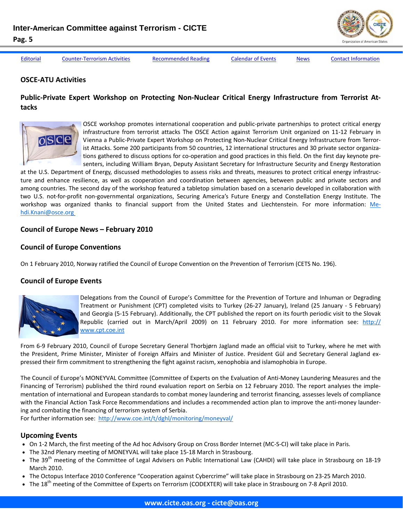[Editorial](#page-1-0) Counter-[Terrorism](#page-3-0) Activities [Recommended](#page-5-0) Reading [Calendar](#page-5-0) of Events [News](#page-6-0) Contact [Information](#page-9-0)

### **OSCE‐ATU Activities**

# Public-Private Expert Workshop on Protecting Non-Nuclear Critical Energy Infrastructure from Terrorist At**tacks**



OSCE workshop promotes international cooperation and public‐private partnerships to protect critical energy infrastructure from terrorist attacks The OSCE Action against Terrorism Unit organized on 11‐12 February in Vienna a Public‐Private Expert Workshop on Protecting Non‐Nuclear Critical Energy Infrastructure from Terror‐ ist Attacks. Some 200 participants from 50 countries, 12 international structures and 30 private sector organizations gathered to discuss options for co-operation and good practices in this field. On the first day keynote presenters, including William Bryan, Deputy Assistant Secretary for Infrastructure Security and Energy Restoration

at the U.S. Department of Energy, discussed methodologies to assess risks and threats, measures to protect critical energy infrastruc‐ ture and enhance resilience, as well as cooperation and coordination between agencies, between public and private sectors and among countries. The second day of the workshop featured a tabletop simulation based on a scenario developed in collaboration with two U.S. not‐for‐profit non‐governmental organizations, Securing America's Future Energy and Constellation Energy Institute. The workshop was organized thanks to financial support from the United States and Liechtenstein. For more information: Mehdi.Knani@osce.org

### **Council of Europe News – February 2010**

### **Council of Europe Conventions**

On 1 February 2010, Norway ratified the Council of Europe Convention on the Prevention of Terrorism (CETS No. 196).

# **Council of Europe Events**



Delegations from the Council of Europe's Committee for the Prevention of Torture and Inhuman or Degrading Treatment or Punishment (CPT) completed visits to Turkey (26‐27 January), Ireland (25 January ‐ 5 February) and Georgia (5‐15 February). Additionally, the CPT published the report on its fourth periodic visit to the Slovak Republic (carried out in March/April 2009) on 11 February 2010. For more information see: http:// www.cpt.coe.int

From 6‐9 February 2010, Council of Europe Secretary General Thorbjørn Jagland made an official visit to Turkey, where he met with the President, Prime Minister, Minister of Foreign Affairs and Minister of Justice. President Gül and Secretary General Jagland ex‐ pressed their firm commitment to strengthening the fight against racism, xenophobia and islamophobia in Europe.

The Council of Europe's MONEYVAL Committee (Committee of Experts on the Evaluation of Anti-Money Laundering Measures and the Financing of Terrorism) published the third round evaluation report on Serbia on 12 February 2010. The report analyses the implementation of international and European standards to combat money laundering and terrorist financing, assesses levels of compliance with the Financial Action Task Force Recommendations and includes a recommended action plan to improve the anti-money laundering and combating the financing of terrorism system of Serbia.

For further information see: http://www.coe.int/t/dghl/monitoring/moneyval/

#### **Upcoming Events**

- On 1‐2 March, the first meeting of the Ad hoc Advisory Group on Cross Border Internet (MC‐S‐CI) will take place in Paris.
- The 32nd Plenary meeting of MONEYVAL will take place 15-18 March in Strasbourg.
- The 39<sup>th</sup> meeting of the Committee of Legal Advisers on Public International Law (CAHDI) will take place in Strasbourg on 18-19 March 2010.
- The Octopus Interface 2010 Conference "Cooperation against Cybercrime" will take place in Strasbourg on 23‐25 March 2010.
- The 18<sup>th</sup> meeting of the Committee of Experts on Terrorism (CODEXTER) will take place in Strasbourg on 7-8 April 2010.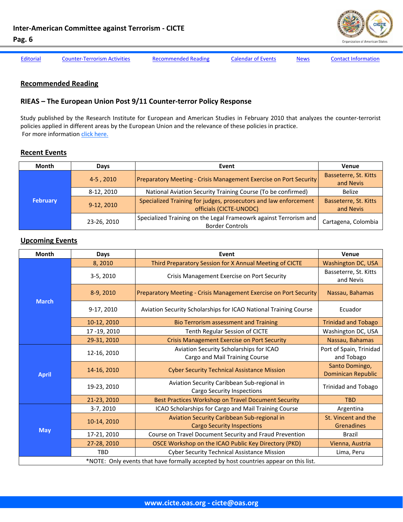

<span id="page-5-0"></span>[Editorial](#page-1-0) Counter-[Terrorism](#page-3-0) Activities Recommended Reading Calendar of Events [News](#page-6-0) Contact [Information](#page-9-0)

#### **Recommended Reading**

# **RIEAS – The European Union Post 9/11 Counter‐terror Policy Response**

Study published by the Research Institute for European and American Studies in February 2010 that analyzes the counter‐terrorist policies applied in different areas by the European Union and the relevance of these policies in practice. For more information click [here.](http://www.rieas.gr/images/rieas140.pdf)

#### **Recent Events**

| Month           | Days        | Event                                                                                       | Venue                              |
|-----------------|-------------|---------------------------------------------------------------------------------------------|------------------------------------|
| <b>February</b> | 4-5, 2010   | Preparatory Meeting - Crisis Management Exercise on Port Security                           | Basseterre, St. Kitts<br>and Nevis |
|                 | 8-12, 2010  | National Aviation Security Training Course (To be confirmed)                                | Belize                             |
|                 | 9-12, 2010  | Specialized Training for judges, prosecutors and law enforcement<br>officials (CICTE-UNODC) | Basseterre, St. Kitts<br>and Nevis |
|                 | 23-26, 2010 | Specialized Training on the Legal Frameowrk against Terrorism and<br><b>Border Controls</b> | Cartagena, Colombia                |

### **Upcoming Events**

| Month                                                                                 | Days        | Event                                                                            | Venue                                       |  |
|---------------------------------------------------------------------------------------|-------------|----------------------------------------------------------------------------------|---------------------------------------------|--|
| <b>March</b>                                                                          | 8,2010      | Third Preparatory Session for X Annual Meeting of CICTE                          | <b>Washington DC, USA</b>                   |  |
|                                                                                       | 3-5, 2010   | Crisis Management Exercise on Port Security                                      | Basseterre, St. Kitts<br>and Nevis          |  |
|                                                                                       | 8-9, 2010   | Preparatory Meeting - Crisis Management Exercise on Port Security                | Nassau, Bahamas                             |  |
|                                                                                       | 9-17, 2010  | Aviation Security Scholarships for ICAO National Training Course                 | Ecuador                                     |  |
|                                                                                       | 10-12, 2010 | <b>Bio Terrorism assessment and Training</b>                                     | <b>Trinidad and Tobago</b>                  |  |
|                                                                                       | 17-19, 2010 | Tenth Regular Session of CICTE                                                   | Washington DC, USA                          |  |
|                                                                                       | 29-31, 2010 | <b>Crisis Management Exercise on Port Security</b>                               | Nassau, Bahamas                             |  |
| <b>April</b>                                                                          | 12-16, 2010 | Aviation Security Scholarships for ICAO<br>Cargo and Mail Training Course        | Port of Spain, Trinidad<br>and Tobago       |  |
|                                                                                       | 14-16, 2010 | <b>Cyber Security Technical Assistance Mission</b>                               | Santo Domingo,<br><b>Dominican Republic</b> |  |
|                                                                                       | 19-23, 2010 | Aviation Security Caribbean Sub-regional in<br><b>Cargo Security Inspections</b> | <b>Trinidad and Tobago</b>                  |  |
|                                                                                       | 21-23, 2010 | Best Practices Workshop on Travel Document Security                              | <b>TBD</b>                                  |  |
| <b>May</b>                                                                            | 3-7, 2010   | ICAO Scholarships for Cargo and Mail Training Course                             | Argentina                                   |  |
|                                                                                       | 10-14, 2010 | Aviation Security Caribbean Sub-regional in                                      | St. Vincent and the                         |  |
|                                                                                       |             | <b>Cargo Security Inspections</b>                                                | Grenadines                                  |  |
|                                                                                       | 17-21, 2010 | Course on Travel Document Security and Fraud Prevention                          | Brazil                                      |  |
|                                                                                       | 27-28, 2010 | OSCE Workshop on the ICAO Public Key Directory (PKD)                             | Vienna, Austria                             |  |
|                                                                                       | <b>TBD</b>  | <b>Cyber Security Technical Assistance Mission</b>                               | Lima, Peru                                  |  |
| *NOTE: Only events that have formally accepted by host countries appear on this list. |             |                                                                                  |                                             |  |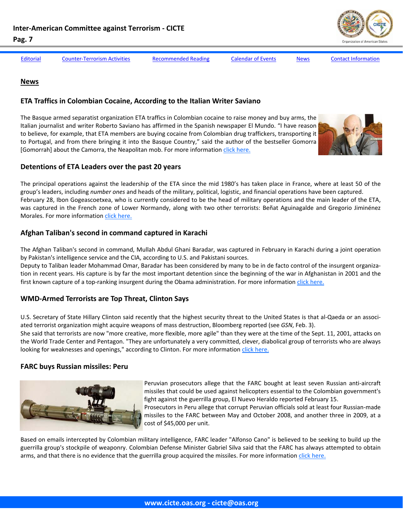

<span id="page-6-0"></span>

[Editorial](#page-1-0) Counter-[Terrorism](#page-3-0) Activities [Recommended](#page-5-0) Reading [Calendar](#page-5-0) of Events News Contact [Information](#page-9-0)

### **News**

#### **ETA Traffics in Colombian Cocaine, According to the Italian Writer Saviano**

The Basque armed separatist organization ETA traffics in Colombian cocaine to raise money and buy arms, the Italian journalist and writer Roberto Saviano has affirmed in the Spanish newspaper El Mundo. "I have reason to believe, for example, that ETA members are buying cocaine from Colombian drug traffickers, transporting it to Portugal, and from there bringing it into the Basque Country," said the author of the bestseller Gomorra [Gomorrah] about the Camorra, the Neapolitan mob. For more information click [here.](http://www.elmundo.es/elmundo/2009/08/31/cultura/1251735629.html)



#### **Detentions of ETA Leaders over the past 20 years**

The principal operations against the leadership of the ETA since the mid 1980's has taken place in France, where at least 50 of the group's leaders, including *number ones* and heads of the military, political, logistic, and financial operations have been captured. February 28, Ibon Gogeascoetxea, who is currently considered to be the head of military operations and the main leader of the ETA, was captured in the French zone of Lower Normandy, along with two other terrorists: Beñat Aguinagalde and Gregorio Jiminénez Morales. For more information click [here.](http://www.elpais.com/articulo/espana/Detenciones/jefes/ETA/Francia/ultimos/anos/elpepuesp/20100228elpepunac_5/Tes)

### **Afghan Taliban's second in command captured in Karachi**

The Afghan Taliban's second in command, Mullah Abdul Ghani Baradar, was captured in February in Karachi during a joint operation by Pakistan's intelligence service and the CIA, according to U.S. and Pakistani sources.

Deputy to Taliban leader Mohammad Omar, Baradar has been considered by many to be in de facto control of the insurgent organiza‐ tion in recent years. His capture is by far the most important detention since the beginning of the war in Afghanistan in 2001 and the first known capture of a top-ranking insurgent during the Obama administration. For more information click [here.](http://www.washingtonpost.com/wp-dyn/content/article/2010/02/15/AR2010021503925.html)

# **WMD‐Armed Terrorists are Top Threat, Clinton Says**

U.S. Secretary of State Hillary Clinton said recently that the highest security threat to the United States is that al‐Qaeda or an associ‐ ated terrorist organization might acquire weapons of mass destruction, Bloomberg reported (see *GSN*, Feb. 3).

She said that terrorists are now "more creative, more flexible, more agile" than they were at the time of the Sept. 11, 2001, attacks on the World Trade Center and Pentagon. "They are unfortunately a very committed, clever, diabolical group of terrorists who are always looking for weaknesses and openings," according to Clinton. For more information click [here.](http://gsn.nti.org/gsn/nw_20100209_4884.php)

# **FARC buys Russian missiles: Peru**



Peruvian prosecutors allege that the FARC bought at least seven Russian anti‐aircraft missiles that could be used against helicopters essential to the Colombian government's fight against the guerrilla group, El Nuevo Heraldo reported February 15.

Prosecutors in Peru allege that corrupt Peruvian officials sold at least four Russian‐made missiles to the FARC between May and October 2008, and another three in 2009, at a cost of \$45,000 per unit.

Based on emails intercepted by Colombian military intelligence, FARC leader "Alfonso Cano" is believed to be seeking to build up the guerrilla group's stockpile of weaponry. Colombian Defense Minister Gabriel Silva said that the FARC has always attempted to obtain arms, and that there is no evidence that the guerrilla group acquired the missiles. For more information click [here.](http://colombiareports.com/colombia-news/news/8263-colombia-denies-farc-bought-russian-missiles.html)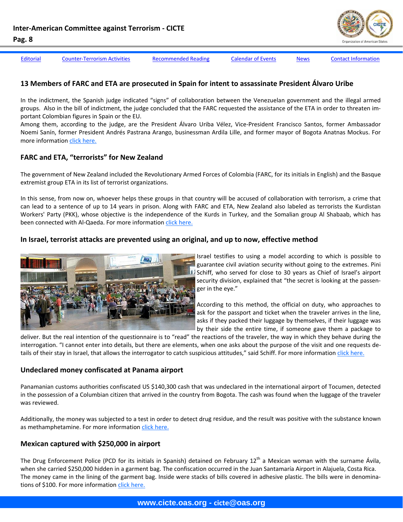

[Editorial](#page-1-0) Counter-[Terrorism](#page-3-0) Activities [Recommended](#page-5-0) Reading [Calendar](#page-5-0) of Events [News](#page-6-0) Contact [Information](#page-9-0)

# **13 Members of FARC and ETA are prosecuted in Spain for intent to assassinate President Álvaro Uribe**

In the indictment, the Spanish judge indicated "signs" of collaboration between the Venezuelan government and the illegal armed groups. Also in the bill of indictment, the judge concluded that the FARC requested the assistance of the ETA in order to threaten im‐ portant Colombian figures in Spain or the EU.

Among them, according to the judge, are the President Álvaro Uriba Vélez, Vice‐President Francisco Santos, former Ambassador Noemi Sanín, former President Andrés Pastrana Arango, businessman Ardila Lille, and former mayor of Bogota Anatnas Mockus. For more information click [here.](http://www.elpais.com/articulo/espana/Detenciones/jefes/ETA/Francia/ultimos/anos/elpepuesp/20100228elpepunac_5/Tes)

# **FARC and ETA, "terrorists" for New Zealand**

The government of New Zealand included the Revolutionary Armed Forces of Colombia (FARC, for its initials in English) and the Basque extremist group ETA in its list of terrorist organizations.

In this sense, from now on, whoever helps these groups in that country will be accused of collaboration with terrorism, a crime that can lead to a sentence of up to 14 years in prison. Along with FARC and ETA, New Zealand also labeled as terrorists the Kurdistan Workers' Party (PKK), whose objective is the independence of the Kurds in Turkey, and the Somalian group Al Shabaab, which has been connected with Al-Qaeda. For more information click [here](http://www.bbc.co.uk/mundo/internacional/2010/02/100210_1042_farc_eta_nueva_zelanda_pea.shtml).

#### **In Israel, terrorist attacks are prevented using an original, and up to now, effective method**



Israel testifies to using a model according to which is possible to guarantee civil aviation security without going to the extremes. Pini 11 Schiff, who served for close to 30 years as Chief of Israel's airport security division, explained that "the secret is looking at the passenger in the eye."

According to this method, the official on duty, who approaches to ask for the passport and ticket when the traveler arrives in the line, asks if they packed their luggage by themselves, if their luggage was by their side the entire time, if someone gave them a package to

deliver. But the real intention of the questionnaire is to "read" the reactions of the traveler, the way in which they behave during the interrogation. "I cannot enter into details, but there are elements, when one asks about the purpose of the visit and one requests de‐ tails of their stay in Israel, that allows the interrogator to catch suspicious attitudes," said Schiff. For more information click [here.](http://www.cambio.com.co/mundocambio/865/ARTICULO-WEB-NOTA_INTERIOR_CAMBIO-7111667.html)

#### **Undeclared money confiscated at Panama airport**

Panamanian customs authorities confiscated US \$140,300 cash that was undeclared in the international airport of Tocumen, detected in the possession of a Columbian citizen that arrived in the country from Bogota. The cash was found when the luggage of the traveler was reviewed.

Additionally, the money was subjected to a test in order to detect drug residue, and the result was positive with the substance known as methamphetamine. For more information click [here.](http://www.rlp.com.ni/noticias/resumen/71232)

# **Mexican captured with \$250,000 in airport**

The Drug Enforcement Police (PCD for its initials in Spanish) detained on February  $12^{th}$  a Mexican woman with the surname Ávila, when she carried \$250,000 hidden in a garment bag. The confiscation occurred in the Juan Santamaría Airport in Alajuela, Costa Rica. The money came in the lining of the garment bag. Inside were stacks of bills covered in adhesive plastic. The bills were in denominations of \$100. For more information click [here.](http://www.nacion.com/ln_ee/2010/febrero/14/sucesos2269055.html)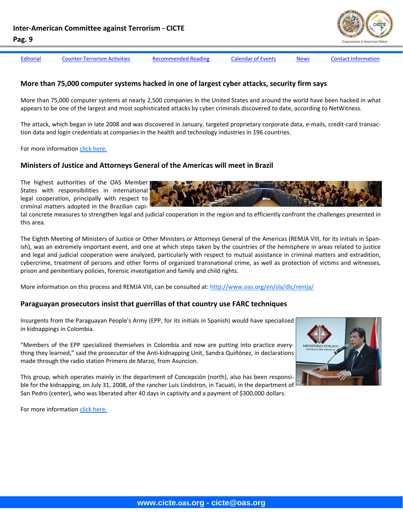| ۰.<br>I | ۰, |
|---------|----|
|---------|----|

[Editorial](#page-1-0) Counter-[Terrorism](#page-3-0) Activities [Recommended](#page-5-0) Reading [Calendar](#page-5-0) of Events [News](#page-6-0) Contact [Information](#page-9-0)

# **More than 75,000 computer systems hacked in one of largest cyber attacks, security firm says**

More than 75,000 computer systems at nearly 2,500 companies in the United States and around the world have been hacked in what appears to be one of the largest and most sophisticated attacks by cyber criminals discovered to date, according to NetWitness.

The attack, which began in late 2008 and was discovered in January, targeted proprietary corporate data, e‐mails, credit‐card transac‐ tion data and login credentials at companies in the health and technology industries in 196 countries.

For more information click [here.](http://www.washingtonpost.com/wp-dyn/content/article/2010/02/17/AR2010021705816.html?wpisrc=nl_headline)

### **Ministers of Justice and Attorneys General of the Americas will meet in Brazil**

The highest authorities of the OAS Member States with responsibilities in international legal cooperation, principally with respect to criminal matters adopted in the Brazilian capi‐

tal concrete measures to strengthen legal and judicial cooperation in the region and to efficiently confront the challenges presented in this area.

The Eighth Meeting of Ministers of Justice or Other Ministers or Attorneys General of the Americas (REMJA VIII, for its initials in Span‐ ish), was an extremely important event, and one at which steps taken by the countries of the hemisphere in areas related to justice and legal and judicial cooperation were analyzed, particularly with respect to mutual assistance in criminal matters and extradition, cybercrime, treatment of persons and other forms of organized transnational crime, as well as protection of victims and witnesses, prison and penitentiary policies, forensic investigation and family and child rights.

More information on this process and REMJA VIII, can be consulted at: http://www.oas.org/en/sla/dlc/remja/

#### **Paraguayan prosecutors insist that guerrillas of that country use FARC techniques**

Insurgents from the Paraguayan People's Army (EPP, for its initials in Spanish) would have specialized in kidnappings in Colombia.

"Members of the EPP specialized themselves in Colombia and now are putting into practice every‐ thing they learned," said the prosecutor of the Anti‐kidnapping Unit, Sandra Quiñónez, in declarations made through the radio station Primero de Marzo, from Asuncion.

This group, which operates mainly in the department of Concepción (north), also has been responsi‐ ble for the kidnapping, on July 31, 2008, of the rancher Luis Lindstron, in Tacuatí, in the department of San Pedro (center), who was liberated after 40 days in captivity and a payment of \$300,000 dollars.



For more information click [here.](http://www.eltiempo.com/mundo/latinoamerica/guerrilleros-de-paraguay-usarian-tecnicas-de-las-farc_7301424-1)

**www.cicte.oas.org - cicte@oas.org**